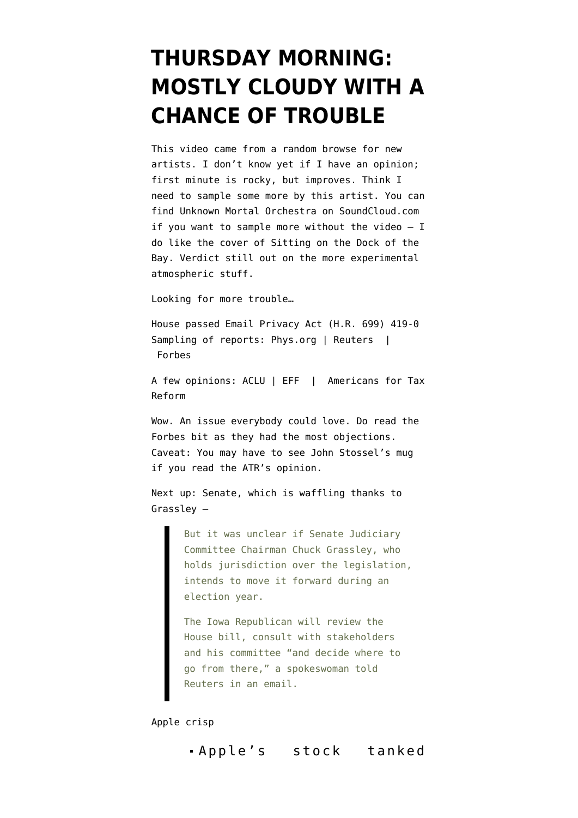## **[THURSDAY MORNING:](https://www.emptywheel.net/2016/04/28/thursday-morning-mostly-cloudy-with-a-chance-of-trouble/) [MOSTLY CLOUDY WITH A](https://www.emptywheel.net/2016/04/28/thursday-morning-mostly-cloudy-with-a-chance-of-trouble/) [CHANCE OF TROUBLE](https://www.emptywheel.net/2016/04/28/thursday-morning-mostly-cloudy-with-a-chance-of-trouble/)**

This video came from a random browse for new artists. I don't know yet if I have an opinion; first minute is rocky, but improves. Think I need to sample some more by this artist. You can find Unknown Mortal Orchestra on [SoundCloud.com](https://soundcloud.com/unknownmortalorchestra) if you want to sample more without the video  $- I$ do like the cover of Sitting on the Dock of the Bay. Verdict still out on the more experimental atmospheric stuff.

Looking for more trouble…

House passed Email Privacy Act (H.R. 699) 419-0 Sampling of reports: [Phys.org](http://phys.org/news/2016-04-house-email-privacy-bill.html) | [Reuters](http://www.reuters.com/article/us-usa-congress-email-idUSKCN0XO1J7) | [Forbes](http://www.forbes.com/sites/shelbycarpenter/2016/04/27/house-passes-bill-requiring-a-warrant-before-feds-secretly-read-your-email/)

A few opinions: [ACLU](https://www.aclu.org/blog/washington-markup/house-takes-big-step-toward-protecting-privacy-digital-age) | [EFF](https://www.eff.org/deeplinks/2016/04/house-advances-email-privacy-act-setting-stage-vital-privacy-reform) | [Americans for Tax](https://www.atr.org/americans-tax-reform-applauds-house-passing-hr-699-email-privacy-act) [Reform](https://www.atr.org/americans-tax-reform-applauds-house-passing-hr-699-email-privacy-act)

Wow. An issue everybody could love. Do read the Forbes bit as they had the most objections. Caveat: You may have to see John Stossel's mug if you read the ATR's opinion.

Next up: Senate, which is waffling [thanks to](http://www.reuters.com/article/us-usa-congress-email-idUSKCN0XO1J7) [Grassley](http://www.reuters.com/article/us-usa-congress-email-idUSKCN0XO1J7) —

> But it was unclear if Senate Judiciary Committee Chairman Chuck Grassley, who holds jurisdiction over the legislation, intends to move it forward during an election year.

The Iowa Republican will review the House bill, consult with stakeholders and his committee "and decide where to go from there," a spokeswoman told Reuters in an email.

Apple crisp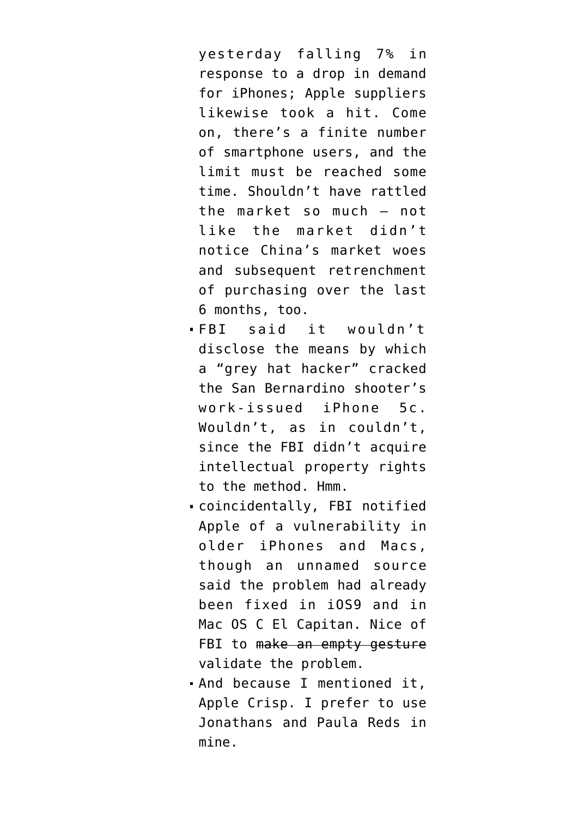[yesterday](http://www.bloomberg.com/news/articles/2016-04-27/apple-suppliers-fall-after-forecast-for-slowing-iphone-sales) falling 7% in response to a drop in demand for iPhones; Apple suppliers likewise took a hit. Come on, there's a finite number of smartphone users, and the limit must be reached some time. Shouldn't have rattled the market so much — not like the market didn't notice China's market woes and subsequent retrenchment of purchasing over the last 6 months, too.

- FBI said it [wouldn't](https://www.theguardian.com/technology/2016/apr/27/fbi-apple-iphone-secret-hack-san-bernardino) [disclose](https://www.theguardian.com/technology/2016/apr/27/fbi-apple-iphone-secret-hack-san-bernardino) the means by which a "grey hat hacker" cracked the San Bernardino shooter's work-issued iPhone 5c. Wouldn't, as in couldn't, since the FBI didn't acquire intellectual property rights to the method. Hmm.
- coincidentally, FBI [notified](http://www.reuters.com/article/us-apple-encryption-fbi-disclosure-idUSKCN0XO00T) [Apple of a vulnerability](http://www.reuters.com/article/us-apple-encryption-fbi-disclosure-idUSKCN0XO00T) in older iPhones and Macs, though an unnamed source said the problem had already been fixed in iOS9 and in Mac OS C El Capitan. Nice of FBI to make an empty gesture validate the problem.
- And because I mentioned it, [Apple Crisp.](http://www.chowhound.com/recipes/apple-crisp-with-oatmeal-streusel-11416) I prefer to use Jonathans and Paula Reds in mine.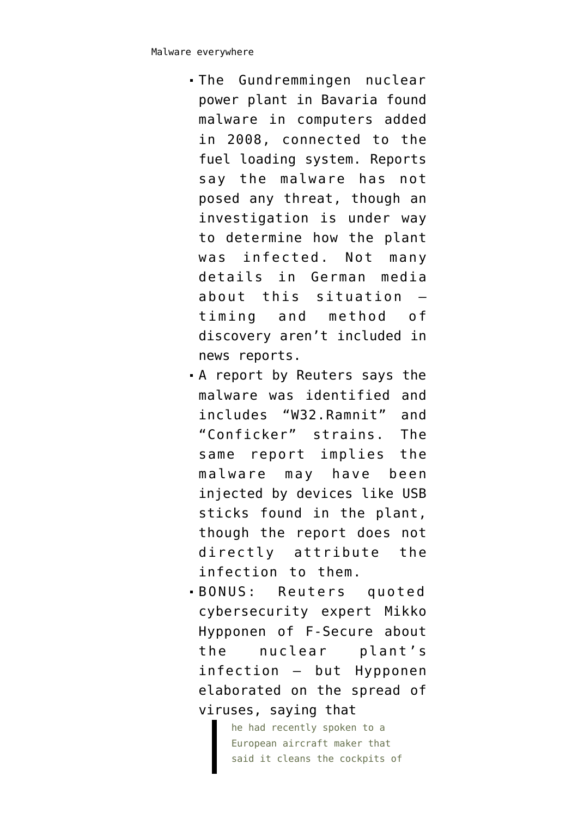- The Gundremmingen nuclear power plant in Bavaria [found](http://www.spiegel.de/netzwelt/web/grundremmingen-computervirus-im-atomkraftwerk-entdeckt-a-1089248.html) [malware in computers added](http://www.spiegel.de/netzwelt/web/grundremmingen-computervirus-im-atomkraftwerk-entdeckt-a-1089248.html) [in 2008](http://www.spiegel.de/netzwelt/web/grundremmingen-computervirus-im-atomkraftwerk-entdeckt-a-1089248.html), connected to the fuel loading system. Reports say the malware has not posed any threat, though an investigation is under way to determine how the plant was infected. Not many details in German media about this situation timing and method of discovery aren't included in news reports.
- A report by Reuters says the [malware was identified](http://www.reuters.com/article/us-nuclearpower-cyber-germany-idUSKCN0XN2OS) and includes "W32.Ramnit" and "Conficker" strains. The same report implies the malware may have been injected by devices like USB sticks found in the plant, though the report does not directly attribute the infection to them.
- BONUS: Reuters quoted cybersecurity expert Mikko Hypponen of F-Secure about the nuclear plant's infection — but Hypponen elaborated on the spread of viruses, saying that

he had recently spoken to a European aircraft maker that said it cleans the cockpits of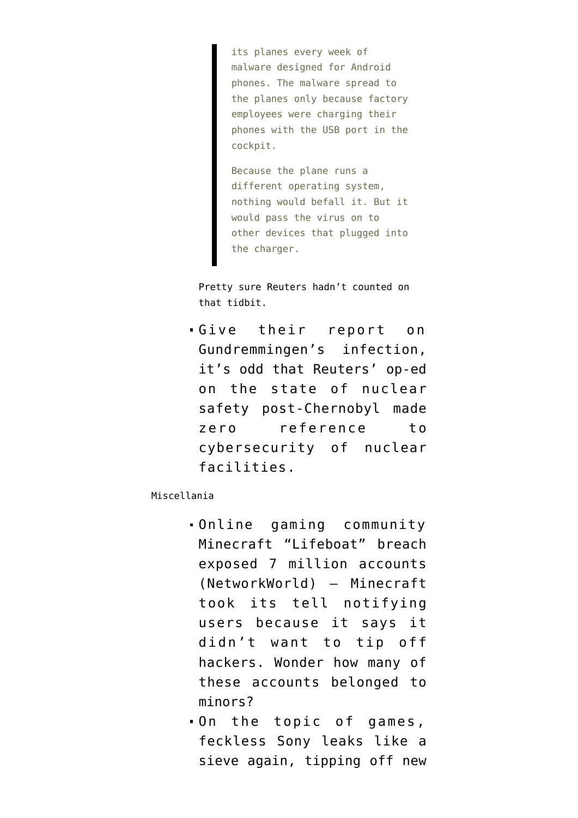its planes every week of malware designed for Android phones. The malware spread to the planes only because factory employees were charging their phones with the USB port in the cockpit.

Because the plane runs a different operating system, nothing would befall it. But it would pass the virus on to other devices that plugged into the charger.

Pretty sure Reuters hadn't counted on that tidbit.

Give their report on Gundremmingen's infection, it's odd that Reuters' op-ed on the state of nuclear safety post-Chernobyl [made](http://blogs.reuters.com/great-debate/2016/04/25/the-next-chernobyl-may-be-intentional/) [zero reference to](http://blogs.reuters.com/great-debate/2016/04/25/the-next-chernobyl-may-be-intentional/) [cybersecurity](http://blogs.reuters.com/great-debate/2016/04/25/the-next-chernobyl-may-be-intentional/) of nuclear facilities.

## Miscellania

- Online gaming community Minecraft "Lifeboat" [breach](http://www.networkworld.com/article/3061206/security/7-million-accounts-compromised-via-lifeboat-hack-a-minecraft-pocket-edition-community.html) [exposed 7 million accounts](http://www.networkworld.com/article/3061206/security/7-million-accounts-compromised-via-lifeboat-hack-a-minecraft-pocket-edition-community.html) (NetworkWorld) — Minecraft took its tell notifying users because it says it didn't want to tip off hackers. Wonder how many of these accounts belonged to minors?
- On the topic of games, feckless Sony [leaks like a](http://www.forbes.com/sites/erikkain/2016/04/26/the-five-best-theories-about-call-of-duty-infinite-warfare) [sieve again,](http://www.forbes.com/sites/erikkain/2016/04/26/the-five-best-theories-about-call-of-duty-infinite-warfare) tipping off new